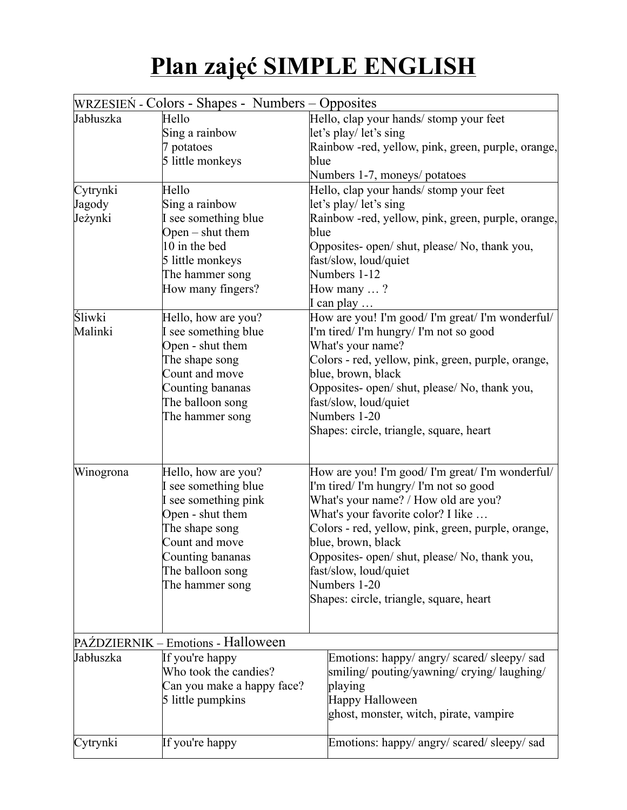## **Plan zajęć SIMPLE ENGLISH**

|           | WRZESIEŃ - Colors - Shapes - Numbers - Opposites |                                                    |
|-----------|--------------------------------------------------|----------------------------------------------------|
| Jabłuszka | Hello                                            | Hello, clap your hands/ stomp your feet            |
|           | Sing a rainbow                                   | let's play/let's sing                              |
|           | potatoes                                         | Rainbow -red, yellow, pink, green, purple, orange, |
|           | 5 little monkeys                                 | blue                                               |
|           |                                                  | Numbers 1-7, moneys/ potatoes                      |
| Cytrynki  | Hello                                            | Hello, clap your hands/ stomp your feet            |
| Jagody    | Sing a rainbow                                   | let's play/let's sing                              |
| Jeżynki   | I see something blue                             | Rainbow -red, yellow, pink, green, purple, orange, |
|           | Open $-$ shut them                               | blue                                               |
|           | 10 in the bed                                    | Opposites- open/ shut, please/ No, thank you,      |
|           | 5 little monkeys                                 | fast/slow, loud/quiet                              |
|           | The hammer song                                  | Numbers 1-12                                       |
|           | How many fingers?                                | How many ?                                         |
|           |                                                  | I can play                                         |
| Śliwki    | Hello, how are you?                              | How are you! I'm good/ I'm great/ I'm wonderful/   |
| Malinki   | see something blue                               | I'm tired/ I'm hungry/ I'm not so good             |
|           | Open - shut them                                 | What's your name?                                  |
|           | The shape song                                   | Colors - red, yellow, pink, green, purple, orange, |
|           | Count and move                                   | blue, brown, black                                 |
|           | Counting bananas                                 | Opposites- open/ shut, please/ No, thank you,      |
|           | The balloon song                                 | fast/slow, loud/quiet                              |
|           | The hammer song                                  | Numbers 1-20                                       |
|           |                                                  | Shapes: circle, triangle, square, heart            |
|           |                                                  |                                                    |
| Winogrona | Hello, how are you?                              | How are you! I'm good/ I'm great/ I'm wonderful/   |
|           | see something blue                               | I'm tired/I'm hungry/I'm not so good               |
|           | I see something pink                             | What's your name? / How old are you?               |
|           | Open - shut them                                 | What's your favorite color? I like                 |
|           | The shape song                                   | Colors - red, yellow, pink, green, purple, orange, |
|           | Count and move                                   | blue, brown, black                                 |
|           | Counting bananas                                 | Opposites- open/ shut, please/ No, thank you,      |
|           | The balloon song                                 | fast/slow, loud/quiet                              |
|           | The hammer song                                  | Numbers 1-20                                       |
|           |                                                  | Shapes: circle, triangle, square, heart            |
|           |                                                  |                                                    |
|           | PAŹDZIERNIK – Emotions - Halloween               |                                                    |
| Jabłuszka |                                                  |                                                    |
|           | If you're happy                                  | Emotions: happy/ angry/ scared/ sleepy/ sad        |
|           | Who took the candies?                            | smiling/pouting/yawning/crying/laughing/           |
|           | Can you make a happy face?                       | playing<br>Happy Halloween                         |
|           | 5 little pumpkins                                |                                                    |
|           |                                                  | ghost, monster, witch, pirate, vampire             |
| Cytrynki  | If you're happy                                  | Emotions: happy/ angry/ scared/ sleepy/ sad        |
|           |                                                  |                                                    |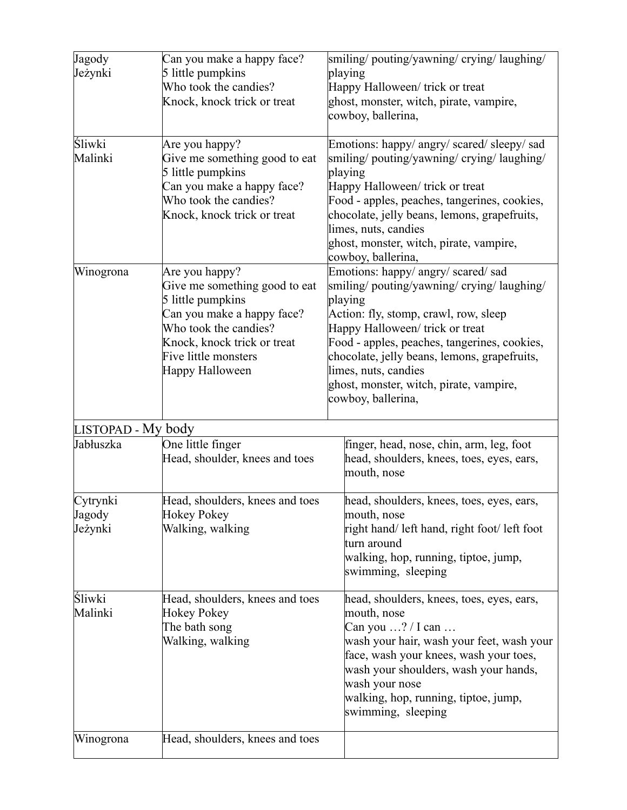| Jagody<br>Jeżynki             | Can you make a happy face?<br>5 little pumpkins<br>Who took the candies?<br>Knock, knock trick or treat                                                                                               | smiling/pouting/yawning/crying/laughing/<br>playing<br>Happy Halloween/ trick or treat<br>ghost, monster, witch, pirate, vampire,<br>cowboy, ballerina,                                                                                                                                                                                                         |
|-------------------------------|-------------------------------------------------------------------------------------------------------------------------------------------------------------------------------------------------------|-----------------------------------------------------------------------------------------------------------------------------------------------------------------------------------------------------------------------------------------------------------------------------------------------------------------------------------------------------------------|
| Śliwki<br>Malinki             | Are you happy?<br>Give me something good to eat<br>5 little pumpkins<br>Can you make a happy face?<br>Who took the candies?<br>Knock, knock trick or treat                                            | Emotions: happy/ angry/ scared/ sleepy/ sad<br>smiling/pouting/yawning/crying/laughing/<br>playing<br>Happy Halloween/ trick or treat<br>Food - apples, peaches, tangerines, cookies,<br>chocolate, jelly beans, lemons, grapefruits,<br>limes, nuts, candies<br>ghost, monster, witch, pirate, vampire,<br>cowboy, ballerina,                                  |
| Winogrona                     | Are you happy?<br>Give me something good to eat<br>5 little pumpkins<br>Can you make a happy face?<br>Who took the candies?<br>Knock, knock trick or treat<br>Five little monsters<br>Happy Halloween | Emotions: happy/ angry/ scared/ sad<br>smiling/pouting/yawning/crying/laughing/<br>playing<br>Action: fly, stomp, crawl, row, sleep<br>Happy Halloween/ trick or treat<br>Food - apples, peaches, tangerines, cookies,<br>chocolate, jelly beans, lemons, grapefruits,<br>limes, nuts, candies<br>ghost, monster, witch, pirate, vampire,<br>cowboy, ballerina, |
| LISTOPAD - My body            |                                                                                                                                                                                                       |                                                                                                                                                                                                                                                                                                                                                                 |
| Jabłuszka                     | One little finger<br>Head, shoulder, knees and toes                                                                                                                                                   | finger, head, nose, chin, arm, leg, foot<br>head, shoulders, knees, toes, eyes, ears,<br>mouth, nose                                                                                                                                                                                                                                                            |
| Cytrynki<br>Jagody<br>Jeżynki | Head, shoulders, knees and toes<br><b>Hokey Pokey</b><br>Walking, walking                                                                                                                             | head, shoulders, knees, toes, eyes, ears,<br>mouth, nose<br>right hand/ left hand, right foot/ left foot<br>turn around<br>walking, hop, running, tiptoe, jump,<br>swimming, sleeping                                                                                                                                                                           |
| Sliwki<br>Malinki             | Head, shoulders, knees and toes<br><b>Hokey Pokey</b><br>The bath song<br>Walking, walking                                                                                                            | head, shoulders, knees, toes, eyes, ears,<br>mouth, nose<br>Can you $\ldots$ ? / I can $\ldots$<br>wash your hair, wash your feet, wash your<br>face, wash your knees, wash your toes,<br>wash your shoulders, wash your hands,<br>wash your nose<br>walking, hop, running, tiptoe, jump,<br>swimming, sleeping                                                 |
| Winogrona                     | Head, shoulders, knees and toes                                                                                                                                                                       |                                                                                                                                                                                                                                                                                                                                                                 |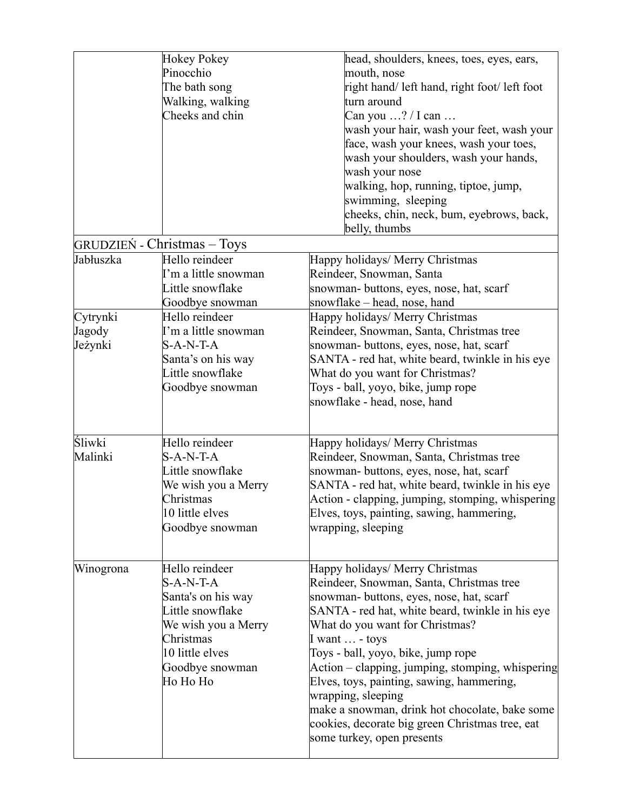|                      | <b>Hokey Pokey</b>                 | head, shoulders, knees, toes, eyes, ears,        |
|----------------------|------------------------------------|--------------------------------------------------|
|                      | Pinocchio                          | mouth, nose                                      |
|                      | The bath song                      | right hand/ left hand, right foot/ left foot     |
|                      | Walking, walking                   | turn around                                      |
|                      | Cheeks and chin                    | Can you $\ldots$ ? / I can $\ldots$              |
|                      |                                    | wash your hair, wash your feet, wash your        |
|                      |                                    | face, wash your knees, wash your toes,           |
|                      |                                    | wash your shoulders, wash your hands,            |
|                      |                                    | wash your nose                                   |
|                      |                                    | walking, hop, running, tiptoe, jump,             |
|                      |                                    | swimming, sleeping                               |
|                      |                                    | cheeks, chin, neck, bum, eyebrows, back,         |
|                      |                                    | belly, thumbs                                    |
|                      | <b>GRUDZIEŃ - Christmas – Toys</b> |                                                  |
| Jabłuszka            | Hello reindeer                     | Happy holidays/ Merry Christmas                  |
|                      | I'm a little snowman               | Reindeer, Snowman, Santa                         |
|                      | Little snowflake                   | snowman- buttons, eyes, nose, hat, scarf         |
|                      | Goodbye snowman                    | snowflake – head, nose, hand                     |
| Cytrynki             | Hello reindeer                     | Happy holidays/ Merry Christmas                  |
| Jagody               | I'm a little snowman               | Reindeer, Snowman, Santa, Christmas tree         |
| Jeżynki              | S-A-N-T-A                          | snowman-buttons, eyes, nose, hat, scarf          |
|                      | Santa's on his way                 | SANTA - red hat, white beard, twinkle in his eye |
|                      | Little snowflake                   | What do you want for Christmas?                  |
|                      | Goodbye snowman                    | Toys - ball, yoyo, bike, jump rope               |
|                      |                                    | snowflake - head, nose, hand                     |
|                      |                                    |                                                  |
|                      |                                    |                                                  |
| <i><b>Sliwki</b></i> | Hello reindeer                     | Happy holidays/ Merry Christmas                  |
| Malinki              | $S-A-N-T-A$                        | Reindeer, Snowman, Santa, Christmas tree         |
|                      | Little snowflake                   | snowman- buttons, eyes, nose, hat, scarf         |
|                      | We wish you a Merry                | SANTA - red hat, white beard, twinkle in his eye |
|                      | Christmas                          | Action - clapping, jumping, stomping, whispering |
|                      | 10 little elves                    | Elves, toys, painting, sawing, hammering,        |
|                      | Goodbye snowman                    | wrapping, sleeping                               |
|                      |                                    |                                                  |
| Winogrona            | Hello reindeer                     | Happy holidays/ Merry Christmas                  |
|                      | $S-A-N-T-A$                        | Reindeer, Snowman, Santa, Christmas tree         |
|                      | Santa's on his way                 | snowman- buttons, eyes, nose, hat, scarf         |
|                      | Little snowflake                   | SANTA - red hat, white beard, twinkle in his eye |
|                      | We wish you a Merry                | What do you want for Christmas?                  |
|                      | Christmas                          | I want $\ldots$ - toys                           |
|                      | 10 little elves                    | Toys - ball, yoyo, bike, jump rope               |
|                      | Goodbye snowman                    | Action – clapping, jumping, stomping, whispering |
|                      | Ho Ho Ho                           | Elves, toys, painting, sawing, hammering,        |
|                      |                                    | wrapping, sleeping                               |
|                      |                                    | make a snowman, drink hot chocolate, bake some   |
|                      |                                    | cookies, decorate big green Christmas tree, eat  |
|                      |                                    | some turkey, open presents                       |
|                      |                                    |                                                  |